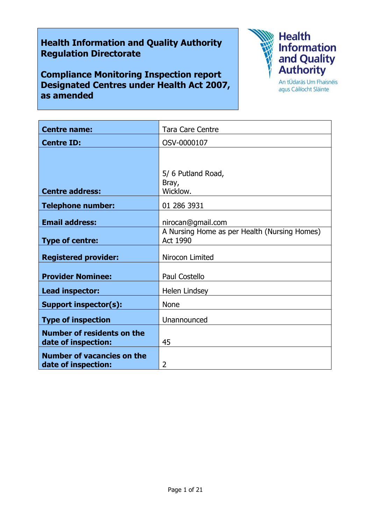# **Health Information and Quality Authority Regulation Directorate**

**Compliance Monitoring Inspection report Designated Centres under Health Act 2007, as amended**



agus Cáilíocht Sláinte

| <b>Centre name:</b>                                      | <b>Tara Care Centre</b>                                  |
|----------------------------------------------------------|----------------------------------------------------------|
| <b>Centre ID:</b>                                        | OSV-0000107                                              |
|                                                          |                                                          |
| <b>Centre address:</b>                                   | 5/6 Putland Road,<br>Bray,<br>Wicklow.                   |
| <b>Telephone number:</b>                                 | 01 286 3931                                              |
| <b>Email address:</b>                                    | nirocan@gmail.com                                        |
| <b>Type of centre:</b>                                   | A Nursing Home as per Health (Nursing Homes)<br>Act 1990 |
| <b>Registered provider:</b>                              | Nirocon Limited                                          |
| <b>Provider Nominee:</b>                                 | Paul Costello                                            |
| Lead inspector:                                          | Helen Lindsey                                            |
| <b>Support inspector(s):</b>                             | <b>None</b>                                              |
| <b>Type of inspection</b>                                | Unannounced                                              |
| <b>Number of residents on the</b><br>date of inspection: | 45                                                       |
| <b>Number of vacancies on the</b><br>date of inspection: | 2                                                        |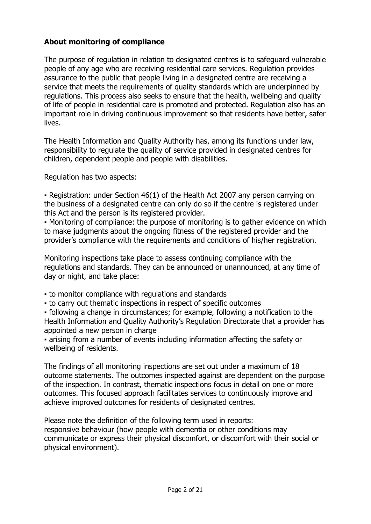## **About monitoring of compliance**

The purpose of regulation in relation to designated centres is to safeguard vulnerable people of any age who are receiving residential care services. Regulation provides assurance to the public that people living in a designated centre are receiving a service that meets the requirements of quality standards which are underpinned by regulations. This process also seeks to ensure that the health, wellbeing and quality of life of people in residential care is promoted and protected. Regulation also has an important role in driving continuous improvement so that residents have better, safer lives.

The Health Information and Quality Authority has, among its functions under law, responsibility to regulate the quality of service provided in designated centres for children, dependent people and people with disabilities.

Regulation has two aspects:

▪ Registration: under Section 46(1) of the Health Act 2007 any person carrying on the business of a designated centre can only do so if the centre is registered under this Act and the person is its registered provider.

▪ Monitoring of compliance: the purpose of monitoring is to gather evidence on which to make judgments about the ongoing fitness of the registered provider and the provider's compliance with the requirements and conditions of his/her registration.

Monitoring inspections take place to assess continuing compliance with the regulations and standards. They can be announced or unannounced, at any time of day or night, and take place:

- to monitor compliance with regulations and standards
- to carry out thematic inspections in respect of specific outcomes

▪ following a change in circumstances; for example, following a notification to the Health Information and Quality Authority's Regulation Directorate that a provider has appointed a new person in charge

▪ arising from a number of events including information affecting the safety or wellbeing of residents.

The findings of all monitoring inspections are set out under a maximum of 18 outcome statements. The outcomes inspected against are dependent on the purpose of the inspection. In contrast, thematic inspections focus in detail on one or more outcomes. This focused approach facilitates services to continuously improve and achieve improved outcomes for residents of designated centres.

Please note the definition of the following term used in reports: responsive behaviour (how people with dementia or other conditions may communicate or express their physical discomfort, or discomfort with their social or physical environment).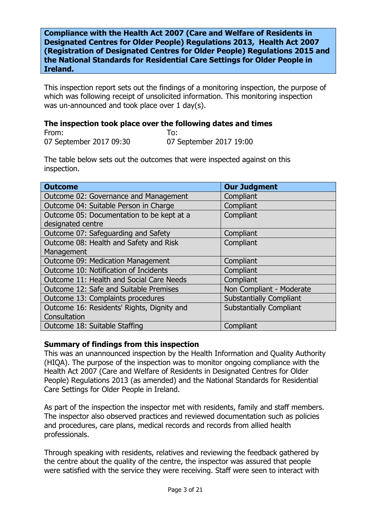**Compliance with the Health Act 2007 (Care and Welfare of Residents in Designated Centres for Older People) Regulations 2013, Health Act 2007 (Registration of Designated Centres for Older People) Regulations 2015 and the National Standards for Residential Care Settings for Older People in Ireland.**

This inspection report sets out the findings of a monitoring inspection, the purpose of which was following receipt of unsolicited information. This monitoring inspection was un-announced and took place over 1 day(s).

#### **The inspection took place over the following dates and times**

| From:                   | To:                     |
|-------------------------|-------------------------|
| 07 September 2017 09:30 | 07 September 2017 19:00 |

The table below sets out the outcomes that were inspected against on this inspection.

| <b>Outcome</b>                             | <b>Our Judgment</b>            |
|--------------------------------------------|--------------------------------|
| Outcome 02: Governance and Management      | Compliant                      |
| Outcome 04: Suitable Person in Charge      | Compliant                      |
| Outcome 05: Documentation to be kept at a  | Compliant                      |
| designated centre                          |                                |
| Outcome 07: Safeguarding and Safety        | Compliant                      |
| Outcome 08: Health and Safety and Risk     | Compliant                      |
| Management                                 |                                |
| <b>Outcome 09: Medication Management</b>   | Compliant                      |
| Outcome 10: Notification of Incidents      | Compliant                      |
| Outcome 11: Health and Social Care Needs   | Compliant                      |
| Outcome 12: Safe and Suitable Premises     | Non Compliant - Moderate       |
| Outcome 13: Complaints procedures          | <b>Substantially Compliant</b> |
| Outcome 16: Residents' Rights, Dignity and | <b>Substantially Compliant</b> |
| Consultation                               |                                |
| Outcome 18: Suitable Staffing              | Compliant                      |

#### **Summary of findings from this inspection**

This was an unannounced inspection by the Health Information and Quality Authority (HIQA). The purpose of the inspection was to monitor ongoing compliance with the Health Act 2007 (Care and Welfare of Residents in Designated Centres for Older People) Regulations 2013 (as amended) and the National Standards for Residential Care Settings for Older People in Ireland.

As part of the inspection the inspector met with residents, family and staff members. The inspector also observed practices and reviewed documentation such as policies and procedures, care plans, medical records and records from allied health professionals.

Through speaking with residents, relatives and reviewing the feedback gathered by the centre about the quality of the centre, the inspector was assured that people were satisfied with the service they were receiving. Staff were seen to interact with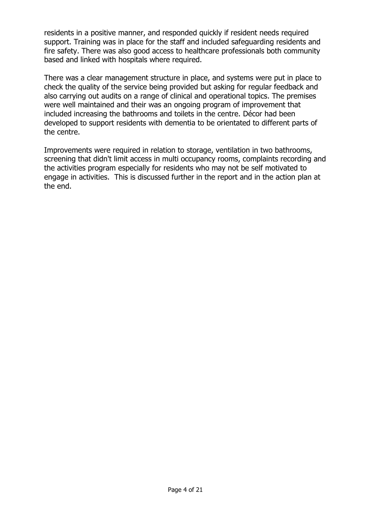residents in a positive manner, and responded quickly if resident needs required support. Training was in place for the staff and included safeguarding residents and fire safety. There was also good access to healthcare professionals both community based and linked with hospitals where required.

There was a clear management structure in place, and systems were put in place to check the quality of the service being provided but asking for regular feedback and also carrying out audits on a range of clinical and operational topics. The premises were well maintained and their was an ongoing program of improvement that included increasing the bathrooms and toilets in the centre. Décor had been developed to support residents with dementia to be orientated to different parts of the centre.

Improvements were required in relation to storage, ventilation in two bathrooms, screening that didn't limit access in multi occupancy rooms, complaints recording and the activities program especially for residents who may not be self motivated to engage in activities. This is discussed further in the report and in the action plan at the end.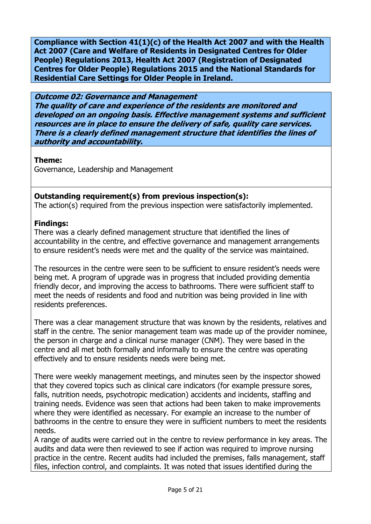**Compliance with Section 41(1)(c) of the Health Act 2007 and with the Health Act 2007 (Care and Welfare of Residents in Designated Centres for Older People) Regulations 2013, Health Act 2007 (Registration of Designated Centres for Older People) Regulations 2015 and the National Standards for Residential Care Settings for Older People in Ireland.**

#### **Outcome 02: Governance and Management**

**The quality of care and experience of the residents are monitored and developed on an ongoing basis. Effective management systems and sufficient resources are in place to ensure the delivery of safe, quality care services. There is a clearly defined management structure that identifies the lines of authority and accountability.**

#### **Theme:**

Governance, Leadership and Management

## **Outstanding requirement(s) from previous inspection(s):**

The action(s) required from the previous inspection were satisfactorily implemented.

#### **Findings:**

There was a clearly defined management structure that identified the lines of accountability in the centre, and effective governance and management arrangements to ensure resident's needs were met and the quality of the service was maintained.

The resources in the centre were seen to be sufficient to ensure resident's needs were being met. A program of upgrade was in progress that included providing dementia friendly decor, and improving the access to bathrooms. There were sufficient staff to meet the needs of residents and food and nutrition was being provided in line with residents preferences.

There was a clear management structure that was known by the residents, relatives and staff in the centre. The senior management team was made up of the provider nominee, the person in charge and a clinical nurse manager (CNM). They were based in the centre and all met both formally and informally to ensure the centre was operating effectively and to ensure residents needs were being met.

There were weekly management meetings, and minutes seen by the inspector showed that they covered topics such as clinical care indicators (for example pressure sores, falls, nutrition needs, psychotropic medication) accidents and incidents, staffing and training needs. Evidence was seen that actions had been taken to make improvements where they were identified as necessary. For example an increase to the number of bathrooms in the centre to ensure they were in sufficient numbers to meet the residents needs.

A range of audits were carried out in the centre to review performance in key areas. The audits and data were then reviewed to see if action was required to improve nursing practice in the centre. Recent audits had included the premises, falls management, staff files, infection control, and complaints. It was noted that issues identified during the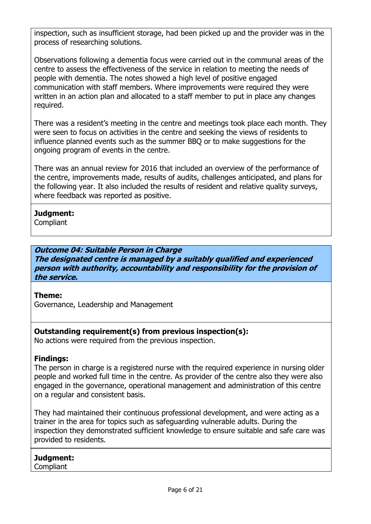inspection, such as insufficient storage, had been picked up and the provider was in the process of researching solutions.

Observations following a dementia focus were carried out in the communal areas of the centre to assess the effectiveness of the service in relation to meeting the needs of people with dementia. The notes showed a high level of positive engaged communication with staff members. Where improvements were required they were written in an action plan and allocated to a staff member to put in place any changes required.

There was a resident's meeting in the centre and meetings took place each month. They were seen to focus on activities in the centre and seeking the views of residents to influence planned events such as the summer BBQ or to make suggestions for the ongoing program of events in the centre.

There was an annual review for 2016 that included an overview of the performance of the centre, improvements made, results of audits, challenges anticipated, and plans for the following year. It also included the results of resident and relative quality surveys, where feedback was reported as positive.

# **Judgment:**

**Compliant** 

**Outcome 04: Suitable Person in Charge The designated centre is managed by a suitably qualified and experienced person with authority, accountability and responsibility for the provision of the service.**

#### **Theme:**

Governance, Leadership and Management

## **Outstanding requirement(s) from previous inspection(s):**

No actions were required from the previous inspection.

#### **Findings:**

The person in charge is a registered nurse with the required experience in nursing older people and worked full time in the centre. As provider of the centre also they were also engaged in the governance, operational management and administration of this centre on a regular and consistent basis.

They had maintained their continuous professional development, and were acting as a trainer in the area for topics such as safeguarding vulnerable adults. During the inspection they demonstrated sufficient knowledge to ensure suitable and safe care was provided to residents.

#### **Judgment: Compliant**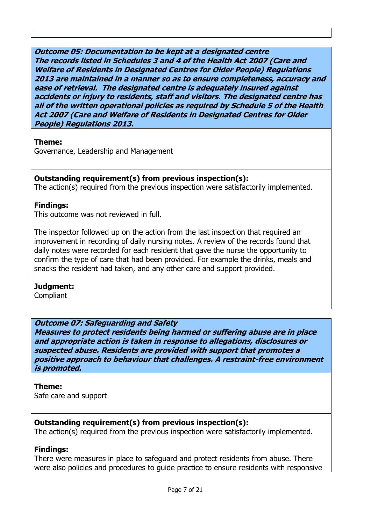**Outcome 05: Documentation to be kept at a designated centre The records listed in Schedules 3 and 4 of the Health Act 2007 (Care and Welfare of Residents in Designated Centres for Older People) Regulations 2013 are maintained in a manner so as to ensure completeness, accuracy and ease of retrieval. The designated centre is adequately insured against accidents or injury to residents, staff and visitors. The designated centre has all of the written operational policies as required by Schedule 5 of the Health Act 2007 (Care and Welfare of Residents in Designated Centres for Older People) Regulations 2013.**

#### **Theme:**

Governance, Leadership and Management

#### **Outstanding requirement(s) from previous inspection(s):**

The action(s) required from the previous inspection were satisfactorily implemented.

#### **Findings:**

This outcome was not reviewed in full.

The inspector followed up on the action from the last inspection that required an improvement in recording of daily nursing notes. A review of the records found that daily notes were recorded for each resident that gave the nurse the opportunity to confirm the type of care that had been provided. For example the drinks, meals and snacks the resident had taken, and any other care and support provided.

#### **Judgment:**

Compliant

#### **Outcome 07: Safeguarding and Safety**

**Measures to protect residents being harmed or suffering abuse are in place and appropriate action is taken in response to allegations, disclosures or suspected abuse. Residents are provided with support that promotes a positive approach to behaviour that challenges. A restraint-free environment is promoted.**

#### **Theme:**

Safe care and support

## **Outstanding requirement(s) from previous inspection(s):**

The action(s) required from the previous inspection were satisfactorily implemented.

#### **Findings:**

There were measures in place to safeguard and protect residents from abuse. There were also policies and procedures to guide practice to ensure residents with responsive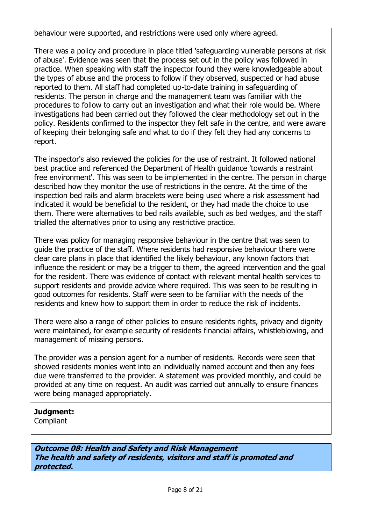behaviour were supported, and restrictions were used only where agreed.

There was a policy and procedure in place titled 'safeguarding vulnerable persons at risk of abuse'. Evidence was seen that the process set out in the policy was followed in practice. When speaking with staff the inspector found they were knowledgeable about the types of abuse and the process to follow if they observed, suspected or had abuse reported to them. All staff had completed up-to-date training in safeguarding of residents. The person in charge and the management team was familiar with the procedures to follow to carry out an investigation and what their role would be. Where investigations had been carried out they followed the clear methodology set out in the policy. Residents confirmed to the inspector they felt safe in the centre, and were aware of keeping their belonging safe and what to do if they felt they had any concerns to report.

The inspector's also reviewed the policies for the use of restraint. It followed national best practice and referenced the Department of Health guidance 'towards a restraint free environment'. This was seen to be implemented in the centre. The person in charge described how they monitor the use of restrictions in the centre. At the time of the inspection bed rails and alarm bracelets were being used where a risk assessment had indicated it would be beneficial to the resident, or they had made the choice to use them. There were alternatives to bed rails available, such as bed wedges, and the staff trialled the alternatives prior to using any restrictive practice.

There was policy for managing responsive behaviour in the centre that was seen to guide the practice of the staff. Where residents had responsive behaviour there were clear care plans in place that identified the likely behaviour, any known factors that influence the resident or may be a trigger to them, the agreed intervention and the goal for the resident. There was evidence of contact with relevant mental health services to support residents and provide advice where required. This was seen to be resulting in good outcomes for residents. Staff were seen to be familiar with the needs of the residents and knew how to support them in order to reduce the risk of incidents.

There were also a range of other policies to ensure residents rights, privacy and dignity were maintained, for example security of residents financial affairs, whistleblowing, and management of missing persons.

The provider was a pension agent for a number of residents. Records were seen that showed residents monies went into an individually named account and then any fees due were transferred to the provider. A statement was provided monthly, and could be provided at any time on request. An audit was carried out annually to ensure finances were being managed appropriately.

## **Judgment:**

**Compliant** 

**Outcome 08: Health and Safety and Risk Management The health and safety of residents, visitors and staff is promoted and protected.**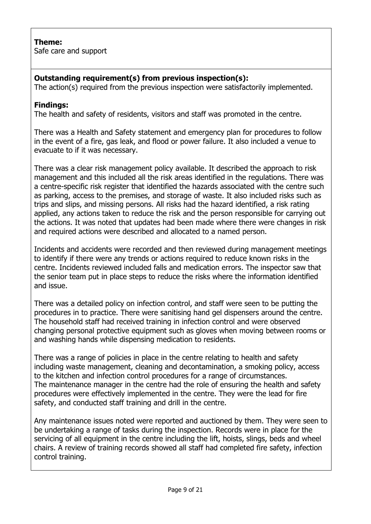## **Theme:**

Safe care and support

## **Outstanding requirement(s) from previous inspection(s):**

The action(s) required from the previous inspection were satisfactorily implemented.

# **Findings:**

The health and safety of residents, visitors and staff was promoted in the centre.

There was a Health and Safety statement and emergency plan for procedures to follow in the event of a fire, gas leak, and flood or power failure. It also included a venue to evacuate to if it was necessary.

There was a clear risk management policy available. It described the approach to risk management and this included all the risk areas identified in the regulations. There was a centre-specific risk register that identified the hazards associated with the centre such as parking, access to the premises, and storage of waste. It also included risks such as trips and slips, and missing persons. All risks had the hazard identified, a risk rating applied, any actions taken to reduce the risk and the person responsible for carrying out the actions. It was noted that updates had been made where there were changes in risk and required actions were described and allocated to a named person.

Incidents and accidents were recorded and then reviewed during management meetings to identify if there were any trends or actions required to reduce known risks in the centre. Incidents reviewed included falls and medication errors. The inspector saw that the senior team put in place steps to reduce the risks where the information identified and issue.

There was a detailed policy on infection control, and staff were seen to be putting the procedures in to practice. There were sanitising hand gel dispensers around the centre. The household staff had received training in infection control and were observed changing personal protective equipment such as gloves when moving between rooms or and washing hands while dispensing medication to residents.

There was a range of policies in place in the centre relating to health and safety including waste management, cleaning and decontamination, a smoking policy, access to the kitchen and infection control procedures for a range of circumstances. The maintenance manager in the centre had the role of ensuring the health and safety procedures were effectively implemented in the centre. They were the lead for fire safety, and conducted staff training and drill in the centre.

Any maintenance issues noted were reported and auctioned by them. They were seen to be undertaking a range of tasks during the inspection. Records were in place for the servicing of all equipment in the centre including the lift, hoists, slings, beds and wheel chairs. A review of training records showed all staff had completed fire safety, infection control training.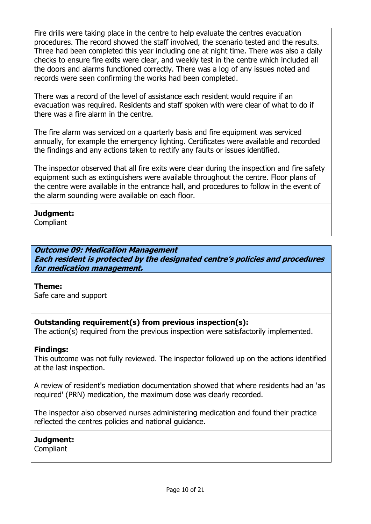Fire drills were taking place in the centre to help evaluate the centres evacuation procedures. The record showed the staff involved, the scenario tested and the results. Three had been completed this year including one at night time. There was also a daily checks to ensure fire exits were clear, and weekly test in the centre which included all the doors and alarms functioned correctly. There was a log of any issues noted and records were seen confirming the works had been completed.

There was a record of the level of assistance each resident would require if an evacuation was required. Residents and staff spoken with were clear of what to do if there was a fire alarm in the centre.

The fire alarm was serviced on a quarterly basis and fire equipment was serviced annually, for example the emergency lighting. Certificates were available and recorded the findings and any actions taken to rectify any faults or issues identified.

The inspector observed that all fire exits were clear during the inspection and fire safety equipment such as extinguishers were available throughout the centre. Floor plans of the centre were available in the entrance hall, and procedures to follow in the event of the alarm sounding were available on each floor.

# **Judgment:**

**Compliant** 

**Outcome 09: Medication Management Each resident is protected by the designated centre's policies and procedures for medication management.**

#### **Theme:**

Safe care and support

## **Outstanding requirement(s) from previous inspection(s):**

The action(s) required from the previous inspection were satisfactorily implemented.

#### **Findings:**

This outcome was not fully reviewed. The inspector followed up on the actions identified at the last inspection.

A review of resident's mediation documentation showed that where residents had an 'as required' (PRN) medication, the maximum dose was clearly recorded.

The inspector also observed nurses administering medication and found their practice reflected the centres policies and national guidance.

## **Judgment:**

**Compliant**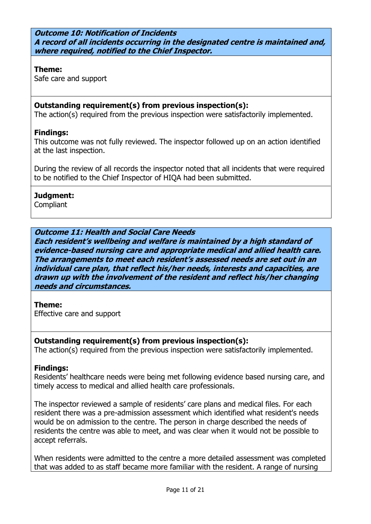**Outcome 10: Notification of Incidents A record of all incidents occurring in the designated centre is maintained and, where required, notified to the Chief Inspector.**

#### **Theme:**

Safe care and support

## **Outstanding requirement(s) from previous inspection(s):**

The action(s) required from the previous inspection were satisfactorily implemented.

#### **Findings:**

This outcome was not fully reviewed. The inspector followed up on an action identified at the last inspection.

During the review of all records the inspector noted that all incidents that were required to be notified to the Chief Inspector of HIQA had been submitted.

#### **Judgment:**

**Compliant** 

#### **Outcome 11: Health and Social Care Needs**

**Each resident's wellbeing and welfare is maintained by a high standard of evidence-based nursing care and appropriate medical and allied health care. The arrangements to meet each resident's assessed needs are set out in an individual care plan, that reflect his/her needs, interests and capacities, are drawn up with the involvement of the resident and reflect his/her changing needs and circumstances.**

**Theme:**  Effective care and support

#### **Outstanding requirement(s) from previous inspection(s):**

The action(s) required from the previous inspection were satisfactorily implemented.

#### **Findings:**

Residents' healthcare needs were being met following evidence based nursing care, and timely access to medical and allied health care professionals.

The inspector reviewed a sample of residents' care plans and medical files. For each resident there was a pre-admission assessment which identified what resident's needs would be on admission to the centre. The person in charge described the needs of residents the centre was able to meet, and was clear when it would not be possible to accept referrals.

When residents were admitted to the centre a more detailed assessment was completed that was added to as staff became more familiar with the resident. A range of nursing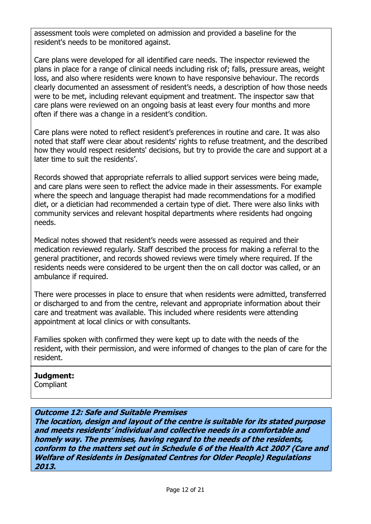assessment tools were completed on admission and provided a baseline for the resident's needs to be monitored against.

Care plans were developed for all identified care needs. The inspector reviewed the plans in place for a range of clinical needs including risk of; falls, pressure areas, weight loss, and also where residents were known to have responsive behaviour. The records clearly documented an assessment of resident's needs, a description of how those needs were to be met, including relevant equipment and treatment. The inspector saw that care plans were reviewed on an ongoing basis at least every four months and more often if there was a change in a resident's condition.

Care plans were noted to reflect resident's preferences in routine and care. It was also noted that staff were clear about residents' rights to refuse treatment, and the described how they would respect residents' decisions, but try to provide the care and support at a later time to suit the residents'.

Records showed that appropriate referrals to allied support services were being made, and care plans were seen to reflect the advice made in their assessments. For example where the speech and language therapist had made recommendations for a modified diet, or a dietician had recommended a certain type of diet. There were also links with community services and relevant hospital departments where residents had ongoing needs.

Medical notes showed that resident's needs were assessed as required and their medication reviewed regularly. Staff described the process for making a referral to the general practitioner, and records showed reviews were timely where required. If the residents needs were considered to be urgent then the on call doctor was called, or an ambulance if required.

There were processes in place to ensure that when residents were admitted, transferred or discharged to and from the centre, relevant and appropriate information about their care and treatment was available. This included where residents were attending appointment at local clinics or with consultants.

Families spoken with confirmed they were kept up to date with the needs of the resident, with their permission, and were informed of changes to the plan of care for the resident.

## **Judgment:**

**Compliant** 

# **Outcome 12: Safe and Suitable Premises**

**The location, design and layout of the centre is suitable for its stated purpose and meets residents' individual and collective needs in a comfortable and homely way. The premises, having regard to the needs of the residents, conform to the matters set out in Schedule 6 of the Health Act 2007 (Care and Welfare of Residents in Designated Centres for Older People) Regulations 2013.**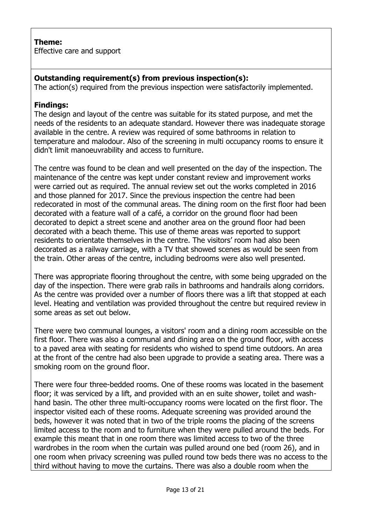## **Theme:**

Effective care and support

#### **Outstanding requirement(s) from previous inspection(s):**

The action(s) required from the previous inspection were satisfactorily implemented.

#### **Findings:**

The design and layout of the centre was suitable for its stated purpose, and met the needs of the residents to an adequate standard. However there was inadequate storage available in the centre. A review was required of some bathrooms in relation to temperature and malodour. Also of the screening in multi occupancy rooms to ensure it didn't limit manoeuvrability and access to furniture.

The centre was found to be clean and well presented on the day of the inspection. The maintenance of the centre was kept under constant review and improvement works were carried out as required. The annual review set out the works completed in 2016 and those planned for 2017. Since the previous inspection the centre had been redecorated in most of the communal areas. The dining room on the first floor had been decorated with a feature wall of a café, a corridor on the ground floor had been decorated to depict a street scene and another area on the ground floor had been decorated with a beach theme. This use of theme areas was reported to support residents to orientate themselves in the centre. The visitors' room had also been decorated as a railway carriage, with a TV that showed scenes as would be seen from the train. Other areas of the centre, including bedrooms were also well presented.

There was appropriate flooring throughout the centre, with some being upgraded on the day of the inspection. There were grab rails in bathrooms and handrails along corridors. As the centre was provided over a number of floors there was a lift that stopped at each level. Heating and ventilation was provided throughout the centre but required review in some areas as set out below.

There were two communal lounges, a visitors' room and a dining room accessible on the first floor. There was also a communal and dining area on the ground floor, with access to a paved area with seating for residents who wished to spend time outdoors. An area at the front of the centre had also been upgrade to provide a seating area. There was a smoking room on the ground floor.

There were four three-bedded rooms. One of these rooms was located in the basement floor; it was serviced by a lift, and provided with an en suite shower, toilet and washhand basin. The other three multi-occupancy rooms were located on the first floor. The inspector visited each of these rooms. Adequate screening was provided around the beds, however it was noted that in two of the triple rooms the placing of the screens limited access to the room and to furniture when they were pulled around the beds. For example this meant that in one room there was limited access to two of the three wardrobes in the room when the curtain was pulled around one bed (room 26), and in one room when privacy screening was pulled round tow beds there was no access to the third without having to move the curtains. There was also a double room when the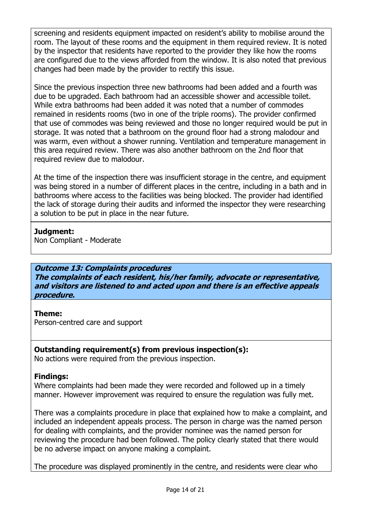screening and residents equipment impacted on resident's ability to mobilise around the room. The layout of these rooms and the equipment in them required review. It is noted by the inspector that residents have reported to the provider they like how the rooms are configured due to the views afforded from the window. It is also noted that previous changes had been made by the provider to rectify this issue.

Since the previous inspection three new bathrooms had been added and a fourth was due to be upgraded. Each bathroom had an accessible shower and accessible toilet. While extra bathrooms had been added it was noted that a number of commodes remained in residents rooms (two in one of the triple rooms). The provider confirmed that use of commodes was being reviewed and those no longer required would be put in storage. It was noted that a bathroom on the ground floor had a strong malodour and was warm, even without a shower running. Ventilation and temperature management in this area required review. There was also another bathroom on the 2nd floor that required review due to malodour.

At the time of the inspection there was insufficient storage in the centre, and equipment was being stored in a number of different places in the centre, including in a bath and in bathrooms where access to the facilities was being blocked. The provider had identified the lack of storage during their audits and informed the inspector they were researching a solution to be put in place in the near future.

#### **Judgment:**

Non Compliant - Moderate

## **Outcome 13: Complaints procedures**

**The complaints of each resident, his/her family, advocate or representative, and visitors are listened to and acted upon and there is an effective appeals procedure.**

## **Theme:**

Person-centred care and support

# **Outstanding requirement(s) from previous inspection(s):**

No actions were required from the previous inspection.

## **Findings:**

Where complaints had been made they were recorded and followed up in a timely manner. However improvement was required to ensure the regulation was fully met.

There was a complaints procedure in place that explained how to make a complaint, and included an independent appeals process. The person in charge was the named person for dealing with complaints, and the provider nominee was the named person for reviewing the procedure had been followed. The policy clearly stated that there would be no adverse impact on anyone making a complaint.

The procedure was displayed prominently in the centre, and residents were clear who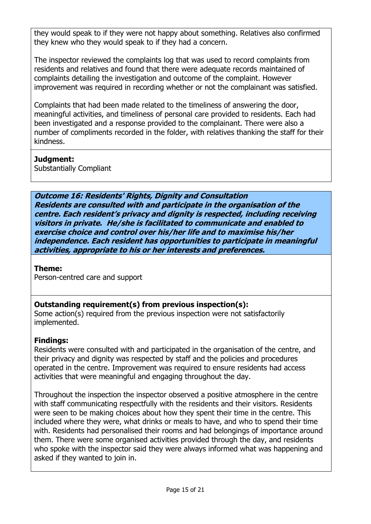they would speak to if they were not happy about something. Relatives also confirmed they knew who they would speak to if they had a concern.

The inspector reviewed the complaints log that was used to record complaints from residents and relatives and found that there were adequate records maintained of complaints detailing the investigation and outcome of the complaint. However improvement was required in recording whether or not the complainant was satisfied.

Complaints that had been made related to the timeliness of answering the door, meaningful activities, and timeliness of personal care provided to residents. Each had been investigated and a response provided to the complainant. There were also a number of compliments recorded in the folder, with relatives thanking the staff for their kindness.

## **Judgment:**

Substantially Compliant

**Outcome 16: Residents' Rights, Dignity and Consultation Residents are consulted with and participate in the organisation of the centre. Each resident's privacy and dignity is respected, including receiving visitors in private. He/she is facilitated to communicate and enabled to exercise choice and control over his/her life and to maximise his/her independence. Each resident has opportunities to participate in meaningful activities, appropriate to his or her interests and preferences.**

## **Theme:**

Person-centred care and support

## **Outstanding requirement(s) from previous inspection(s):**

Some action(s) required from the previous inspection were not satisfactorily implemented.

## **Findings:**

Residents were consulted with and participated in the organisation of the centre, and their privacy and dignity was respected by staff and the policies and procedures operated in the centre. Improvement was required to ensure residents had access activities that were meaningful and engaging throughout the day.

Throughout the inspection the inspector observed a positive atmosphere in the centre with staff communicating respectfully with the residents and their visitors. Residents were seen to be making choices about how they spent their time in the centre. This included where they were, what drinks or meals to have, and who to spend their time with. Residents had personalised their rooms and had belongings of importance around them. There were some organised activities provided through the day, and residents who spoke with the inspector said they were always informed what was happening and asked if they wanted to join in.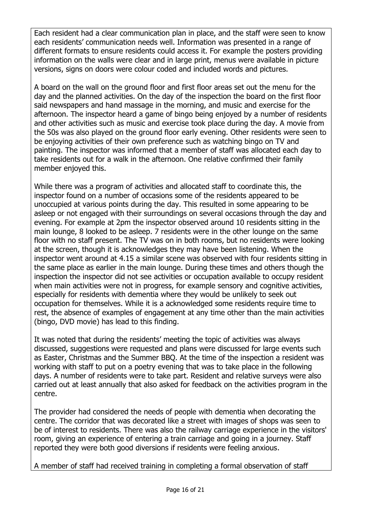Each resident had a clear communication plan in place, and the staff were seen to know each residents' communication needs well. Information was presented in a range of different formats to ensure residents could access it. For example the posters providing information on the walls were clear and in large print, menus were available in picture versions, signs on doors were colour coded and included words and pictures.

A board on the wall on the ground floor and first floor areas set out the menu for the day and the planned activities. On the day of the inspection the board on the first floor said newspapers and hand massage in the morning, and music and exercise for the afternoon. The inspector heard a game of bingo being enjoyed by a number of residents and other activities such as music and exercise took place during the day. A movie from the 50s was also played on the ground floor early evening. Other residents were seen to be enjoying activities of their own preference such as watching bingo on TV and painting. The inspector was informed that a member of staff was allocated each day to take residents out for a walk in the afternoon. One relative confirmed their family member enjoyed this.

While there was a program of activities and allocated staff to coordinate this, the inspector found on a number of occasions some of the residents appeared to be unoccupied at various points during the day. This resulted in some appearing to be asleep or not engaged with their surroundings on several occasions through the day and evening. For example at 2pm the inspector observed around 10 residents sitting in the main lounge, 8 looked to be asleep. 7 residents were in the other lounge on the same floor with no staff present. The TV was on in both rooms, but no residents were looking at the screen, though it is acknowledges they may have been listening. When the inspector went around at 4.15 a similar scene was observed with four residents sitting in the same place as earlier in the main lounge. During these times and others though the inspection the inspector did not see activities or occupation available to occupy resident when main activities were not in progress, for example sensory and cognitive activities, especially for residents with dementia where they would be unlikely to seek out occupation for themselves. While it is a acknowledged some residents require time to rest, the absence of examples of engagement at any time other than the main activities (bingo, DVD movie) has lead to this finding.

It was noted that during the residents' meeting the topic of activities was always discussed, suggestions were requested and plans were discussed for large events such as Easter, Christmas and the Summer BBQ. At the time of the inspection a resident was working with staff to put on a poetry evening that was to take place in the following days. A number of residents were to take part. Resident and relative surveys were also carried out at least annually that also asked for feedback on the activities program in the centre.

The provider had considered the needs of people with dementia when decorating the centre. The corridor that was decorated like a street with images of shops was seen to be of interest to residents. There was also the railway carriage experience in the visitors' room, giving an experience of entering a train carriage and going in a journey. Staff reported they were both good diversions if residents were feeling anxious.

A member of staff had received training in completing a formal observation of staff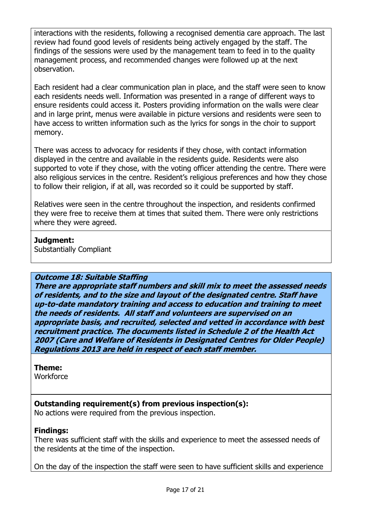interactions with the residents, following a recognised dementia care approach. The last review had found good levels of residents being actively engaged by the staff. The findings of the sessions were used by the management team to feed in to the quality management process, and recommended changes were followed up at the next observation.

Each resident had a clear communication plan in place, and the staff were seen to know each residents needs well. Information was presented in a range of different ways to ensure residents could access it. Posters providing information on the walls were clear and in large print, menus were available in picture versions and residents were seen to have access to written information such as the lyrics for songs in the choir to support memory.

There was access to advocacy for residents if they chose, with contact information displayed in the centre and available in the residents guide. Residents were also supported to vote if they chose, with the voting officer attending the centre. There were also religious services in the centre. Resident's religious preferences and how they chose to follow their religion, if at all, was recorded so it could be supported by staff.

Relatives were seen in the centre throughout the inspection, and residents confirmed they were free to receive them at times that suited them. There were only restrictions where they were agreed.

#### **Judgment:**

Substantially Compliant

#### **Outcome 18: Suitable Staffing**

**There are appropriate staff numbers and skill mix to meet the assessed needs of residents, and to the size and layout of the designated centre. Staff have up-to-date mandatory training and access to education and training to meet the needs of residents. All staff and volunteers are supervised on an appropriate basis, and recruited, selected and vetted in accordance with best recruitment practice. The documents listed in Schedule 2 of the Health Act 2007 (Care and Welfare of Residents in Designated Centres for Older People) Regulations 2013 are held in respect of each staff member.**

## **Theme:**

**Workforce** 

## **Outstanding requirement(s) from previous inspection(s):**

No actions were required from the previous inspection.

#### **Findings:**

There was sufficient staff with the skills and experience to meet the assessed needs of the residents at the time of the inspection.

On the day of the inspection the staff were seen to have sufficient skills and experience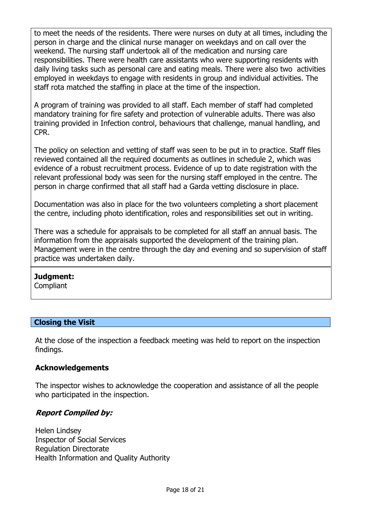to meet the needs of the residents. There were nurses on duty at all times, including the person in charge and the clinical nurse manager on weekdays and on call over the weekend. The nursing staff undertook all of the medication and nursing care responsibilities. There were health care assistants who were supporting residents with daily living tasks such as personal care and eating meals. There were also two activities employed in weekdays to engage with residents in group and individual activities. The staff rota matched the staffing in place at the time of the inspection.

A program of training was provided to all staff. Each member of staff had completed mandatory training for fire safety and protection of vulnerable adults. There was also training provided in Infection control, behaviours that challenge, manual handling, and CPR.

The policy on selection and vetting of staff was seen to be put in to practice. Staff files reviewed contained all the required documents as outlines in schedule 2, which was evidence of a robust recruitment process. Evidence of up to date registration with the relevant professional body was seen for the nursing staff employed in the centre. The person in charge confirmed that all staff had a Garda vetting disclosure in place.

Documentation was also in place for the two volunteers completing a short placement the centre, including photo identification, roles and responsibilities set out in writing.

There was a schedule for appraisals to be completed for all staff an annual basis. The information from the appraisals supported the development of the training plan. Management were in the centre through the day and evening and so supervision of staff practice was undertaken daily.

#### **Judgment:**

**Compliant** 

## **Closing the Visit**

At the close of the inspection a feedback meeting was held to report on the inspection findings.

#### **Acknowledgements**

The inspector wishes to acknowledge the cooperation and assistance of all the people who participated in the inspection.

## **Report Compiled by:**

Helen Lindsey Inspector of Social Services Regulation Directorate Health Information and Quality Authority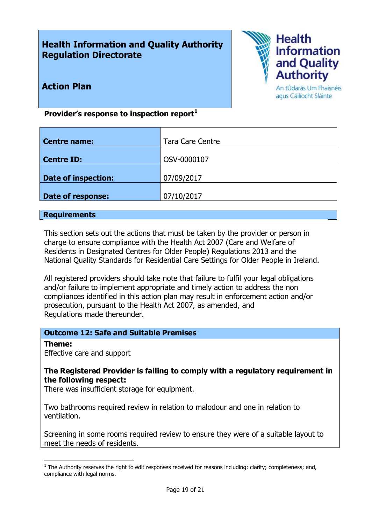# **Health Information and Quality Authority Regulation Directorate**



**Action Plan**

#### An tÚdarás Um Fhaisnéis agus Cáilíocht Sláinte

## **Provider's response to inspection report<sup>1</sup>**

| <b>Centre name:</b>        | <b>Tara Care Centre</b> |
|----------------------------|-------------------------|
|                            |                         |
| <b>Centre ID:</b>          | OSV-0000107             |
|                            |                         |
| <b>Date of inspection:</b> | 07/09/2017              |
|                            |                         |
| <b>Date of response:</b>   | 07/10/2017              |
|                            |                         |

#### **Requirements**

This section sets out the actions that must be taken by the provider or person in charge to ensure compliance with the Health Act 2007 (Care and Welfare of Residents in Designated Centres for Older People) Regulations 2013 and the National Quality Standards for Residential Care Settings for Older People in Ireland.

All registered providers should take note that failure to fulfil your legal obligations and/or failure to implement appropriate and timely action to address the non compliances identified in this action plan may result in enforcement action and/or prosecution, pursuant to the Health Act 2007, as amended, and Regulations made thereunder.

#### **Outcome 12: Safe and Suitable Premises**

#### **Theme:**

 $\overline{a}$ 

Effective care and support

#### **The Registered Provider is failing to comply with a regulatory requirement in the following respect:**

There was insufficient storage for equipment.

Two bathrooms required review in relation to malodour and one in relation to ventilation.

Screening in some rooms required review to ensure they were of a suitable layout to meet the needs of residents.

 $<sup>1</sup>$  The Authority reserves the right to edit responses received for reasons including: clarity; completeness; and,</sup> compliance with legal norms.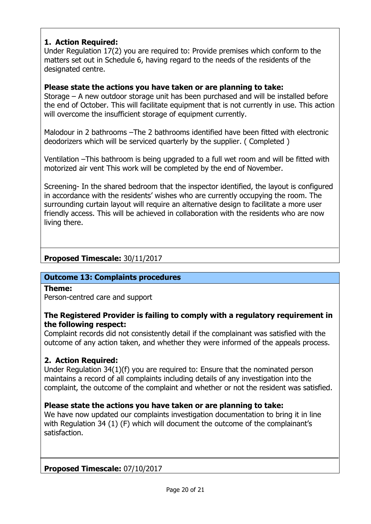# **1. Action Required:**

Under Regulation 17(2) you are required to: Provide premises which conform to the matters set out in Schedule 6, having regard to the needs of the residents of the designated centre.

## **Please state the actions you have taken or are planning to take:**

Storage – A new outdoor storage unit has been purchased and will be installed before the end of October. This will facilitate equipment that is not currently in use. This action will overcome the insufficient storage of equipment currently.

Malodour in 2 bathrooms –The 2 bathrooms identified have been fitted with electronic deodorizers which will be serviced quarterly by the supplier. ( Completed )

Ventilation –This bathroom is being upgraded to a full wet room and will be fitted with motorized air vent This work will be completed by the end of November.

Screening- In the shared bedroom that the inspector identified, the layout is configured in accordance with the residents' wishes who are currently occupying the room. The surrounding curtain layout will require an alternative design to facilitate a more user friendly access. This will be achieved in collaboration with the residents who are now living there.

## **Proposed Timescale:** 30/11/2017

## **Outcome 13: Complaints procedures**

**Theme:** 

Person-centred care and support

#### **The Registered Provider is failing to comply with a regulatory requirement in the following respect:**

Complaint records did not consistently detail if the complainant was satisfied with the outcome of any action taken, and whether they were informed of the appeals process.

## **2. Action Required:**

Under Regulation 34(1)(f) you are required to: Ensure that the nominated person maintains a record of all complaints including details of any investigation into the complaint, the outcome of the complaint and whether or not the resident was satisfied.

## **Please state the actions you have taken or are planning to take:**

We have now updated our complaints investigation documentation to bring it in line with Regulation 34 (1) (F) which will document the outcome of the complainant's satisfaction.

## **Proposed Timescale:** 07/10/2017